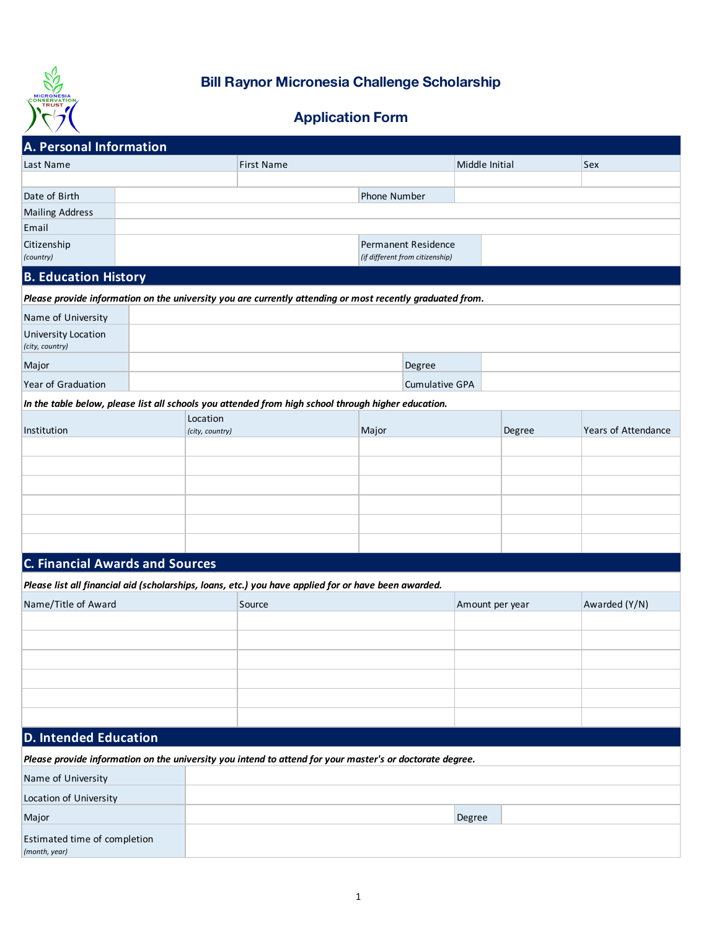

## **Bill Raynor Micronesia Challenge Scholarship**

## **Application Form**

| A. Personal Information                                                                                   |  |                   |  |  |                                                        |                       |                |               |                     |
|-----------------------------------------------------------------------------------------------------------|--|-------------------|--|--|--------------------------------------------------------|-----------------------|----------------|---------------|---------------------|
| Last Name                                                                                                 |  | <b>First Name</b> |  |  |                                                        |                       | Middle Initial |               | Sex                 |
|                                                                                                           |  |                   |  |  |                                                        |                       |                |               |                     |
| Date of Birth                                                                                             |  |                   |  |  | Phone Number                                           |                       |                |               |                     |
| <b>Mailing Address</b>                                                                                    |  |                   |  |  |                                                        |                       |                |               |                     |
| Email                                                                                                     |  |                   |  |  |                                                        |                       |                |               |                     |
| Citizenship<br>(country)                                                                                  |  |                   |  |  | Permanent Residence<br>(if different from citizenship) |                       |                |               |                     |
| <b>B. Education History</b>                                                                               |  |                   |  |  |                                                        |                       |                |               |                     |
| Please provide information on the university you are currently attending or most recently graduated from. |  |                   |  |  |                                                        |                       |                |               |                     |
| Name of University                                                                                        |  |                   |  |  |                                                        |                       |                |               |                     |
| University Location<br>(city, country)                                                                    |  |                   |  |  |                                                        |                       |                |               |                     |
| Major                                                                                                     |  |                   |  |  |                                                        | Degree                |                |               |                     |
| Year of Graduation                                                                                        |  |                   |  |  |                                                        | <b>Cumulative GPA</b> |                |               |                     |
| In the table below, please list all schools you attended from high school through higher education.       |  |                   |  |  |                                                        |                       |                |               |                     |
| Institution                                                                                               |  | Location          |  |  |                                                        |                       |                |               |                     |
|                                                                                                           |  | (city, country)   |  |  | Major                                                  |                       |                | Degree        | Years of Attendance |
|                                                                                                           |  |                   |  |  |                                                        |                       |                |               |                     |
|                                                                                                           |  |                   |  |  |                                                        |                       |                |               |                     |
|                                                                                                           |  |                   |  |  |                                                        |                       |                |               |                     |
|                                                                                                           |  |                   |  |  |                                                        |                       |                |               |                     |
|                                                                                                           |  |                   |  |  |                                                        |                       |                |               |                     |
|                                                                                                           |  |                   |  |  |                                                        |                       |                |               |                     |
| <b>C. Financial Awards and Sources</b>                                                                    |  |                   |  |  |                                                        |                       |                |               |                     |
| Please list all financial aid (scholarships, loans, etc.) you have applied for or have been awarded.      |  |                   |  |  |                                                        |                       |                |               |                     |
| Name/Title of Award                                                                                       |  | Source            |  |  |                                                        | Amount per year       |                | Awarded (Y/N) |                     |
|                                                                                                           |  |                   |  |  |                                                        |                       |                |               |                     |
|                                                                                                           |  |                   |  |  |                                                        |                       |                |               |                     |
|                                                                                                           |  |                   |  |  |                                                        |                       |                |               |                     |
|                                                                                                           |  |                   |  |  |                                                        |                       |                |               |                     |
|                                                                                                           |  |                   |  |  |                                                        |                       |                |               |                     |
|                                                                                                           |  |                   |  |  |                                                        |                       |                |               |                     |
|                                                                                                           |  |                   |  |  |                                                        |                       |                |               |                     |
| <b>D. Intended Education</b>                                                                              |  |                   |  |  |                                                        |                       |                |               |                     |
| Please provide information on the university you intend to attend for your master's or doctorate degree.  |  |                   |  |  |                                                        |                       |                |               |                     |
| Name of University                                                                                        |  |                   |  |  |                                                        |                       |                |               |                     |
| Location of University                                                                                    |  |                   |  |  |                                                        |                       |                |               |                     |
| Major                                                                                                     |  |                   |  |  |                                                        |                       | Degree         |               |                     |
| Estimated time of completion<br>(month, year)                                                             |  |                   |  |  |                                                        |                       |                |               |                     |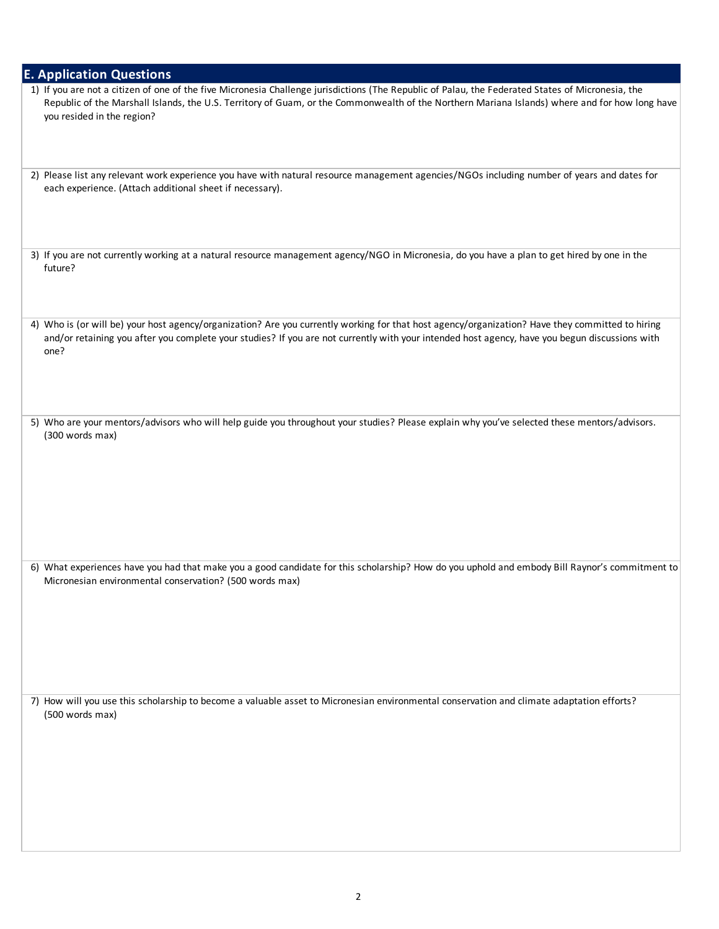| <b>E. Application Questions</b>                                                                                                                                                                                                                                                                                                   |
|-----------------------------------------------------------------------------------------------------------------------------------------------------------------------------------------------------------------------------------------------------------------------------------------------------------------------------------|
| 1) If you are not a citizen of one of the five Micronesia Challenge jurisdictions (The Republic of Palau, the Federated States of Micronesia, the<br>Republic of the Marshall Islands, the U.S. Territory of Guam, or the Commonwealth of the Northern Mariana Islands) where and for how long have<br>you resided in the region? |
| 2) Please list any relevant work experience you have with natural resource management agencies/NGOs including number of years and dates for<br>each experience. (Attach additional sheet if necessary).                                                                                                                           |
| 3) If you are not currently working at a natural resource management agency/NGO in Micronesia, do you have a plan to get hired by one in the<br>future?                                                                                                                                                                           |
| 4) Who is (or will be) your host agency/organization? Are you currently working for that host agency/organization? Have they committed to hiring<br>and/or retaining you after you complete your studies? If you are not currently with your intended host agency, have you begun discussions with<br>one?                        |
| 5) Who are your mentors/advisors who will help guide you throughout your studies? Please explain why you've selected these mentors/advisors.<br>(300 words max)                                                                                                                                                                   |
| 6) What experiences have you had that make you a good candidate for this scholarship? How do you uphold and embody Bill Raynor's commitment to<br>Micronesian environmental conservation? (500 words max)                                                                                                                         |
| 7) How will you use this scholarship to become a valuable asset to Micronesian environmental conservation and climate adaptation efforts?<br>(500 words max)                                                                                                                                                                      |